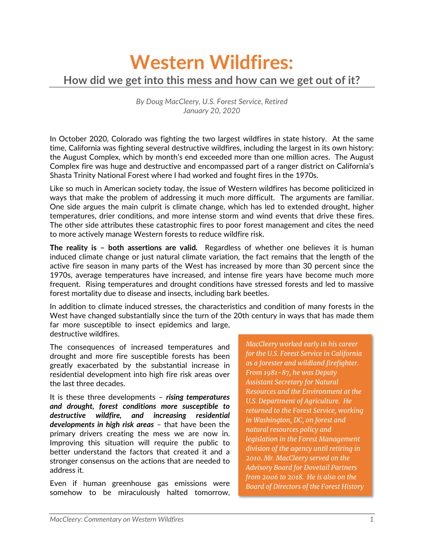## **Western Wildfires: How did we get into this mess and how can we get out of it?**

*By Doug MacCleery, U.S. Forest Service, Retired January 20, 2020*

In October 2020, Colorado was fighting the two largest wildfires in state history. At the same time, California was fighting several destructive wildfires, including the largest in its own history: the August Complex, which by month's end exceeded more than one million acres. The August Complex fire was huge and destructive and encompassed part of a ranger district on California's Shasta Trinity National Forest where I had worked and fought fires in the 1970s.

Like so much in American society today, the issue of Western wildfires has become politicized in ways that make the problem of addressing it much more difficult. The arguments are familiar. One side argues the main culprit is climate change, which has led to extended drought, higher temperatures, drier conditions, and more intense storm and wind events that drive these fires. The other side attributes these catastrophic fires to poor forest management and cites the need to more actively manage Western forests to reduce wildfire risk.

**The reality is – both assertions are valid.** Regardless of whether one believes it is human induced climate change or just natural climate variation, the fact remains that the length of the active fire season in many parts of the West has increased by more than 30 percent since the 1970s, average temperatures have increased, and intense fire years have become much more frequent. Rising temperatures and drought conditions have stressed forests and led to massive forest mortality due to disease and insects, including bark beetles.

In addition to climate induced stresses, the characteristics and condition of many forests in the West have changed substantially since the turn of the 20th century in ways that has made them far more susceptible to insect epidemics and large, destructive wildfires.

The consequences of increased temperatures and drought and more fire susceptible forests has been greatly exacerbated by the substantial increase in residential development into high fire risk areas over the last three decades.

It is these three developments – *rising temperatures and drought, forest conditions more susceptible to destructive wildfire, and increasing residential developments in high risk areas* – that have been the primary drivers creating the mess we are now in. Improving this situation will require the public to better understand the factors that created it and a stronger consensus on the actions that are needed to address it.

Even if human greenhouse gas emissions were somehow to be miraculously halted tomorrow, *MacCleery worked early in his career for the U.S. Forest Service in California as a forester and wildland firefighter. From 1981-87, he was Deputy Assistant Secretary for Natural Resources and the Environment at the U.S. Department of Agriculture. He returned to the Forest Service, working in Washington, DC, on forest and natural resources policy and legislation in the Forest Management division of the agency until retiring in 2010. Mr. MacCleery served on the Advisory Board for Dovetail Partners from 2006 to 2018. He is also on the Board of Directors of the Forest History*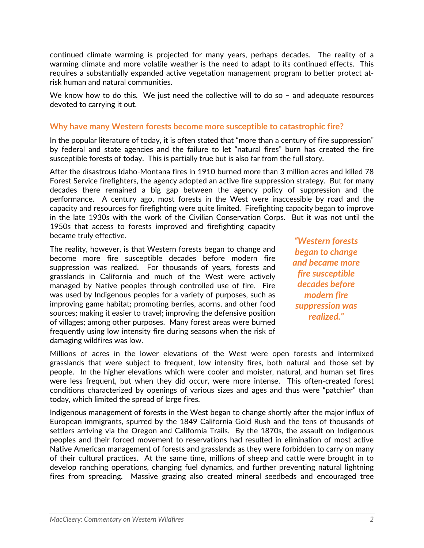continued climate warming is projected for many years, perhaps decades. The reality of a warming climate and more volatile weather is the need to adapt to its continued effects. This requires a substantially expanded active vegetation management program to better protect atrisk human and natural communities.

We know how to do this. We just need the collective will to do so - and adequate resources devoted to carrying it out.

## **Why have many Western forests become more susceptible to catastrophic fire?**

In the popular literature of today, it is often stated that "more than a century of fire suppression" by federal and state agencies and the failure to let "natural fires" burn has created the fire susceptible forests of today. This is partially true but is also far from the full story.

After the disastrous Idaho-Montana fires in 1910 burned more than 3 million acres and killed 78 Forest Service firefighters, the agency adopted an active fire suppression strategy. But for many decades there remained a big gap between the agency policy of suppression and the performance. A century ago, most forests in the West were inaccessible by road and the capacity and resources for firefighting were quite limited. Firefighting capacity began to improve in the late 1930s with the work of the Civilian Conservation Corps. But it was not until the 1950s that access to forests improved and firefighting capacity became truly effective.

The reality, however, is that Western forests began to change and become more fire susceptible decades before modern fire suppression was realized. For thousands of years, forests and grasslands in California and much of the West were actively managed by Native peoples through controlled use of fire. Fire was used by Indigenous peoples for a variety of purposes, such as improving game habitat; promoting berries, acorns, and other food sources; making it easier to travel; improving the defensive position of villages; among other purposes. Many forest areas were burned frequently using low intensity fire during seasons when the risk of damaging wildfires was low.

*"Western forests began to change and became more fire susceptible decades before modern fire suppression was realized."*

Millions of acres in the lower elevations of the West were open forests and intermixed grasslands that were subject to frequent, low intensity fires, both natural and those set by people. In the higher elevations which were cooler and moister, natural, and human set fires were less frequent, but when they did occur, were more intense. This often-created forest conditions characterized by openings of various sizes and ages and thus were "patchier" than today, which limited the spread of large fires.

Indigenous management of forests in the West began to change shortly after the major influx of European immigrants, spurred by the 1849 California Gold Rush and the tens of thousands of settlers arriving via the Oregon and California Trails. By the 1870s, the assault on Indigenous peoples and their forced movement to reservations had resulted in elimination of most active Native American management of forests and grasslands as they were forbidden to carry on many of their cultural practices. At the same time, millions of sheep and cattle were brought in to develop ranching operations, changing fuel dynamics, and further preventing natural lightning fires from spreading. Massive grazing also created mineral seedbeds and encouraged tree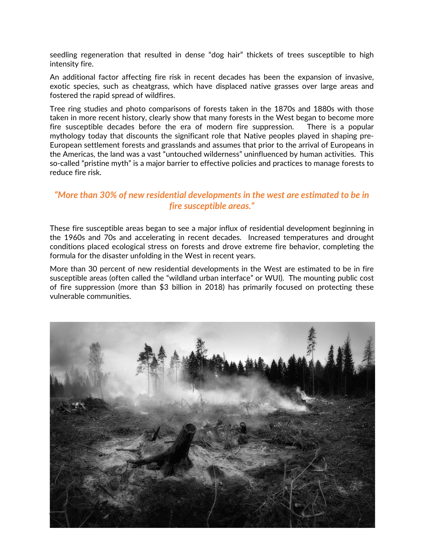seedling regeneration that resulted in dense "dog hair" thickets of trees susceptible to high intensity fire.

An additional factor affecting fire risk in recent decades has been the expansion of invasive, exotic species, such as cheatgrass, which have displaced native grasses over large areas and fostered the rapid spread of wildfires.

Tree ring studies and photo comparisons of forests taken in the 1870s and 1880s with those taken in more recent history, clearly show that many forests in the West began to become more fire susceptible decades before the era of modern fire suppression. There is a popular mythology today that discounts the significant role that Native peoples played in shaping pre-European settlement forests and grasslands and assumes that prior to the arrival of Europeans in the Americas, the land was a vast "untouched wilderness" uninfluenced by human activities. This so-called "pristine myth" is a major barrier to effective policies and practices to manage forests to reduce fire risk.

## *"More than 30% of new residential developments in the west are estimated to be in fire susceptible areas."*

These fire susceptible areas began to see a major influx of residential development beginning in the 1960s and 70s and accelerating in recent decades. Increased temperatures and drought conditions placed ecological stress on forests and drove extreme fire behavior, completing the formula for the disaster unfolding in the West in recent years.

More than 30 percent of new residential developments in the West are estimated to be in fire susceptible areas (often called the "wildland urban interface" or WUI). The mounting public cost of fire suppression (more than \$3 billion in 2018) has primarily focused on protecting these vulnerable communities.